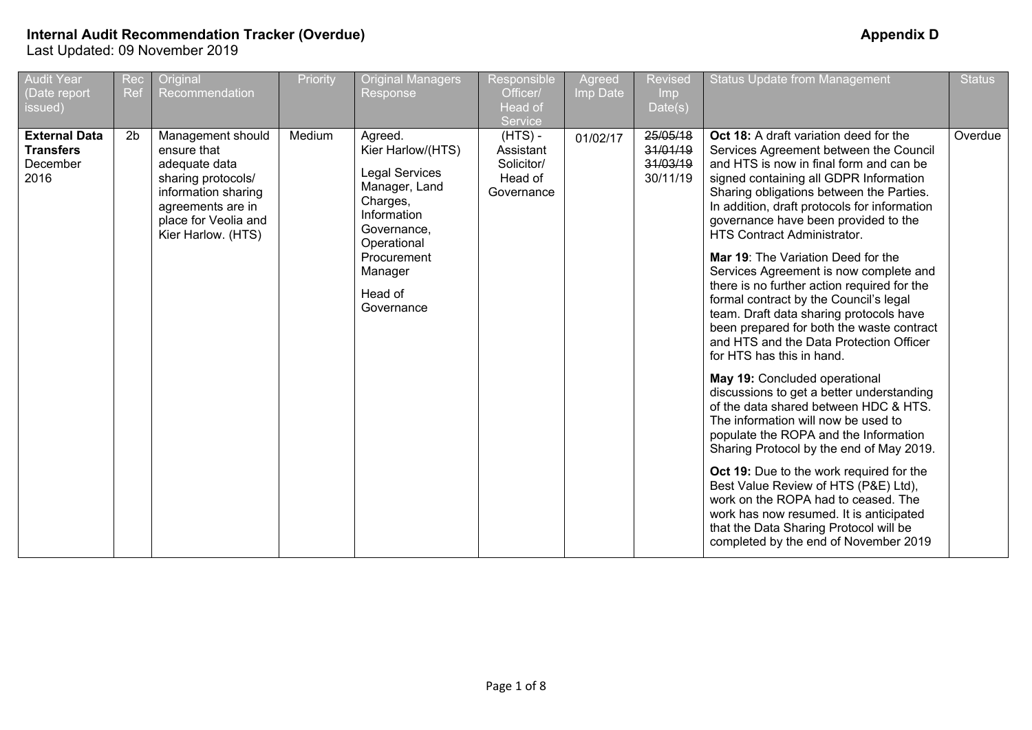| <b>Audit Year</b><br>(Date report<br>issued)                 | Rec<br><b>Ref</b> | Original<br>Recommendation                                                                                                                                        | Priority | <b>Original Managers</b><br>Response                                                                                                                                               | Responsible<br>Officer/<br>Head of<br>Service                 | Agreed<br>Imp Date | <b>Revised</b><br>Imp<br>Date(s)             | <b>Status Update from Management</b>                                                                                                                                                                                                                                                                                                                                                                                                                                                                                                                                                                                                                                                                                                                                                                                                                                                                                                                                                                                                                                                                                                                                                                 | <b>Status</b> |
|--------------------------------------------------------------|-------------------|-------------------------------------------------------------------------------------------------------------------------------------------------------------------|----------|------------------------------------------------------------------------------------------------------------------------------------------------------------------------------------|---------------------------------------------------------------|--------------------|----------------------------------------------|------------------------------------------------------------------------------------------------------------------------------------------------------------------------------------------------------------------------------------------------------------------------------------------------------------------------------------------------------------------------------------------------------------------------------------------------------------------------------------------------------------------------------------------------------------------------------------------------------------------------------------------------------------------------------------------------------------------------------------------------------------------------------------------------------------------------------------------------------------------------------------------------------------------------------------------------------------------------------------------------------------------------------------------------------------------------------------------------------------------------------------------------------------------------------------------------------|---------------|
| <b>External Data</b><br><b>Transfers</b><br>December<br>2016 | 2 <sub>b</sub>    | Management should<br>ensure that<br>adequate data<br>sharing protocols/<br>information sharing<br>agreements are in<br>place for Veolia and<br>Kier Harlow. (HTS) | Medium   | Agreed.<br>Kier Harlow/(HTS)<br><b>Legal Services</b><br>Manager, Land<br>Charges,<br>Information<br>Governance,<br>Operational<br>Procurement<br>Manager<br>Head of<br>Governance | $(HTS)$ -<br>Assistant<br>Solicitor/<br>Head of<br>Governance | 01/02/17           | 25/05/18<br>31/01/19<br>31/03/19<br>30/11/19 | Oct 18: A draft variation deed for the<br>Services Agreement between the Council<br>and HTS is now in final form and can be<br>signed containing all GDPR Information<br>Sharing obligations between the Parties.<br>In addition, draft protocols for information<br>governance have been provided to the<br><b>HTS Contract Administrator.</b><br>Mar 19: The Variation Deed for the<br>Services Agreement is now complete and<br>there is no further action required for the<br>formal contract by the Council's legal<br>team. Draft data sharing protocols have<br>been prepared for both the waste contract<br>and HTS and the Data Protection Officer<br>for HTS has this in hand.<br>May 19: Concluded operational<br>discussions to get a better understanding<br>of the data shared between HDC & HTS.<br>The information will now be used to<br>populate the ROPA and the Information<br>Sharing Protocol by the end of May 2019.<br>Oct 19: Due to the work required for the<br>Best Value Review of HTS (P&E) Ltd),<br>work on the ROPA had to ceased. The<br>work has now resumed. It is anticipated<br>that the Data Sharing Protocol will be<br>completed by the end of November 2019 | Overdue       |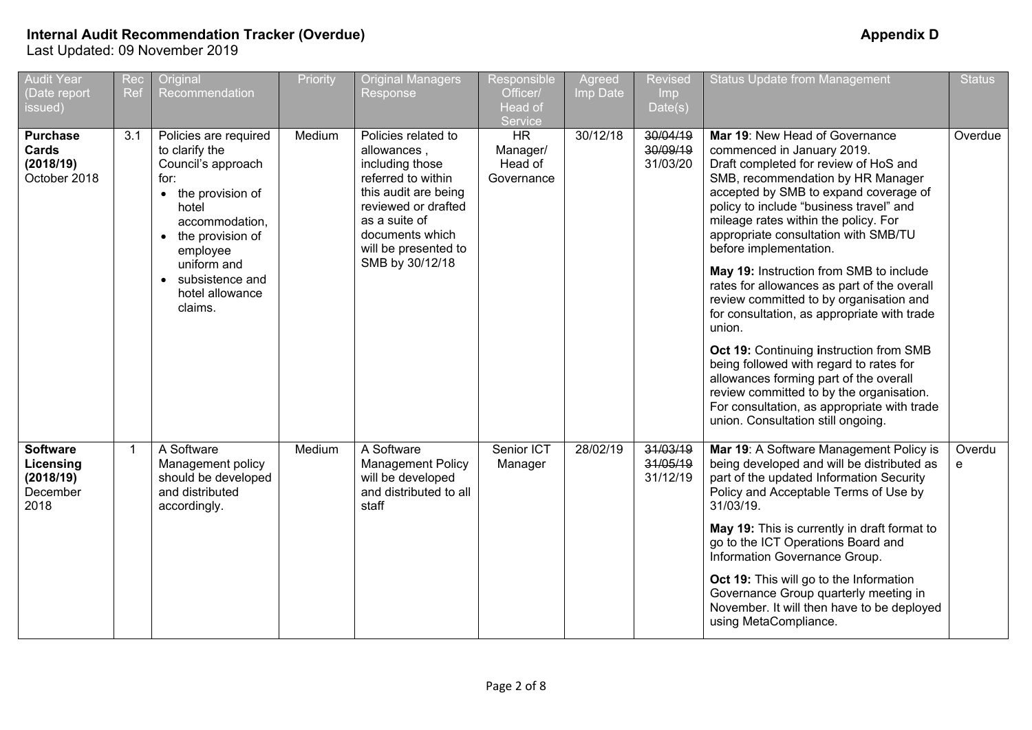| <b>Audit Year</b><br>(Date report<br>issued)                  | Rec<br>Ref  | Original<br>Recommendation                                                                                                                                                                                                 | Priority | <b>Original Managers</b><br>Response                                                                                                                                                                      | Responsible<br>Officer/<br>Head of<br>Service  | Agreed<br>Imp Date | <b>Revised</b><br><b>Imp</b><br>Date(s) | <b>Status Update from Management</b>                                                                                                                                                                                                                                                                                                                                                                                                                                                                                                                                                                                                                                                                                                                                                                    | <b>Status</b> |
|---------------------------------------------------------------|-------------|----------------------------------------------------------------------------------------------------------------------------------------------------------------------------------------------------------------------------|----------|-----------------------------------------------------------------------------------------------------------------------------------------------------------------------------------------------------------|------------------------------------------------|--------------------|-----------------------------------------|---------------------------------------------------------------------------------------------------------------------------------------------------------------------------------------------------------------------------------------------------------------------------------------------------------------------------------------------------------------------------------------------------------------------------------------------------------------------------------------------------------------------------------------------------------------------------------------------------------------------------------------------------------------------------------------------------------------------------------------------------------------------------------------------------------|---------------|
| <b>Purchase</b><br>Cards<br>(2018/19)<br>October 2018         | 3.1         | Policies are required<br>to clarify the<br>Council's approach<br>for:<br>• the provision of<br>hotel<br>accommodation,<br>• the provision of<br>employee<br>uniform and<br>• subsistence and<br>hotel allowance<br>claims. | Medium   | Policies related to<br>allowances,<br>including those<br>referred to within<br>this audit are being<br>reviewed or drafted<br>as a suite of<br>documents which<br>will be presented to<br>SMB by 30/12/18 | <b>HR</b><br>Manager/<br>Head of<br>Governance | 30/12/18           | 30/04/19<br>30/09/19<br>31/03/20        | Mar 19: New Head of Governance<br>commenced in January 2019.<br>Draft completed for review of HoS and<br>SMB, recommendation by HR Manager<br>accepted by SMB to expand coverage of<br>policy to include "business travel" and<br>mileage rates within the policy. For<br>appropriate consultation with SMB/TU<br>before implementation.<br>May 19: Instruction from SMB to include<br>rates for allowances as part of the overall<br>review committed to by organisation and<br>for consultation, as appropriate with trade<br>union.<br>Oct 19: Continuing instruction from SMB<br>being followed with regard to rates for<br>allowances forming part of the overall<br>review committed to by the organisation.<br>For consultation, as appropriate with trade<br>union. Consultation still ongoing. | Overdue       |
| <b>Software</b><br>Licensing<br>(2018/19)<br>December<br>2018 | $\mathbf 1$ | A Software<br>Management policy<br>should be developed<br>and distributed<br>accordingly.                                                                                                                                  | Medium   | A Software<br><b>Management Policy</b><br>will be developed<br>and distributed to all<br>staff                                                                                                            | Senior ICT<br>Manager                          | 28/02/19           | 31/03/19<br>31/05/19<br>31/12/19        | Mar 19: A Software Management Policy is<br>being developed and will be distributed as<br>part of the updated Information Security<br>Policy and Acceptable Terms of Use by<br>31/03/19.<br>May 19: This is currently in draft format to<br>go to the ICT Operations Board and<br>Information Governance Group.<br>Oct 19: This will go to the Information<br>Governance Group quarterly meeting in<br>November. It will then have to be deployed<br>using MetaCompliance.                                                                                                                                                                                                                                                                                                                               | Overdu<br>e   |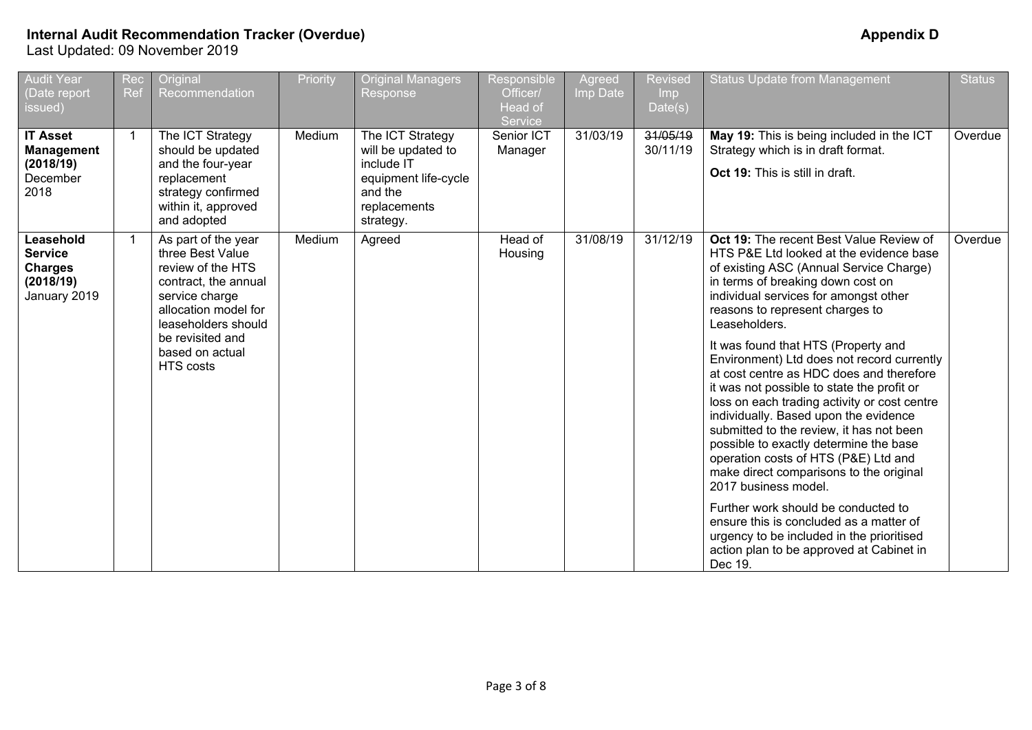| <b>Audit Year</b><br>(Date report<br>issued)                               | Rec<br>Ref     | Original<br>Recommendation                                                                                                                            | Priority | <b>Original Managers</b><br><b>Response</b>                                                                          | Responsible<br>Officer/<br>Head of<br>Service | Agreed<br>Imp Date | Revised<br><b>Imp</b><br>Date(s) | <b>Status Update from Management</b>                                                                                                                                                                                                                                                                                                                                                                                                                                  | <b>Status</b> |
|----------------------------------------------------------------------------|----------------|-------------------------------------------------------------------------------------------------------------------------------------------------------|----------|----------------------------------------------------------------------------------------------------------------------|-----------------------------------------------|--------------------|----------------------------------|-----------------------------------------------------------------------------------------------------------------------------------------------------------------------------------------------------------------------------------------------------------------------------------------------------------------------------------------------------------------------------------------------------------------------------------------------------------------------|---------------|
| <b>IT Asset</b><br><b>Management</b><br>(2018/19)<br>December<br>2018      | $\overline{1}$ | The ICT Strategy<br>should be updated<br>and the four-year<br>replacement<br>strategy confirmed<br>within it, approved<br>and adopted                 | Medium   | The ICT Strategy<br>will be updated to<br>include IT<br>equipment life-cycle<br>and the<br>replacements<br>strategy. | Senior ICT<br>Manager                         | 31/03/19           | 31/05/19<br>30/11/19             | May 19: This is being included in the ICT<br>Strategy which is in draft format.<br>Oct 19: This is still in draft.                                                                                                                                                                                                                                                                                                                                                    | Overdue       |
| Leasehold<br><b>Service</b><br><b>Charges</b><br>(2018/19)<br>January 2019 | -1             | As part of the year<br>three Best Value<br>review of the HTS<br>contract, the annual<br>service charge<br>allocation model for<br>leaseholders should | Medium   | Agreed                                                                                                               | Head of<br>Housing                            | 31/08/19           | 31/12/19                         | Oct 19: The recent Best Value Review of<br>HTS P&E Ltd looked at the evidence base<br>of existing ASC (Annual Service Charge)<br>in terms of breaking down cost on<br>individual services for amongst other<br>reasons to represent charges to<br>Leaseholders.                                                                                                                                                                                                       | Overdue       |
|                                                                            |                | be revisited and<br>based on actual<br>HTS costs                                                                                                      |          |                                                                                                                      |                                               |                    |                                  | It was found that HTS (Property and<br>Environment) Ltd does not record currently<br>at cost centre as HDC does and therefore<br>it was not possible to state the profit or<br>loss on each trading activity or cost centre<br>individually. Based upon the evidence<br>submitted to the review, it has not been<br>possible to exactly determine the base<br>operation costs of HTS (P&E) Ltd and<br>make direct comparisons to the original<br>2017 business model. |               |
|                                                                            |                |                                                                                                                                                       |          |                                                                                                                      |                                               |                    |                                  | Further work should be conducted to<br>ensure this is concluded as a matter of<br>urgency to be included in the prioritised<br>action plan to be approved at Cabinet in<br>Dec 19.                                                                                                                                                                                                                                                                                    |               |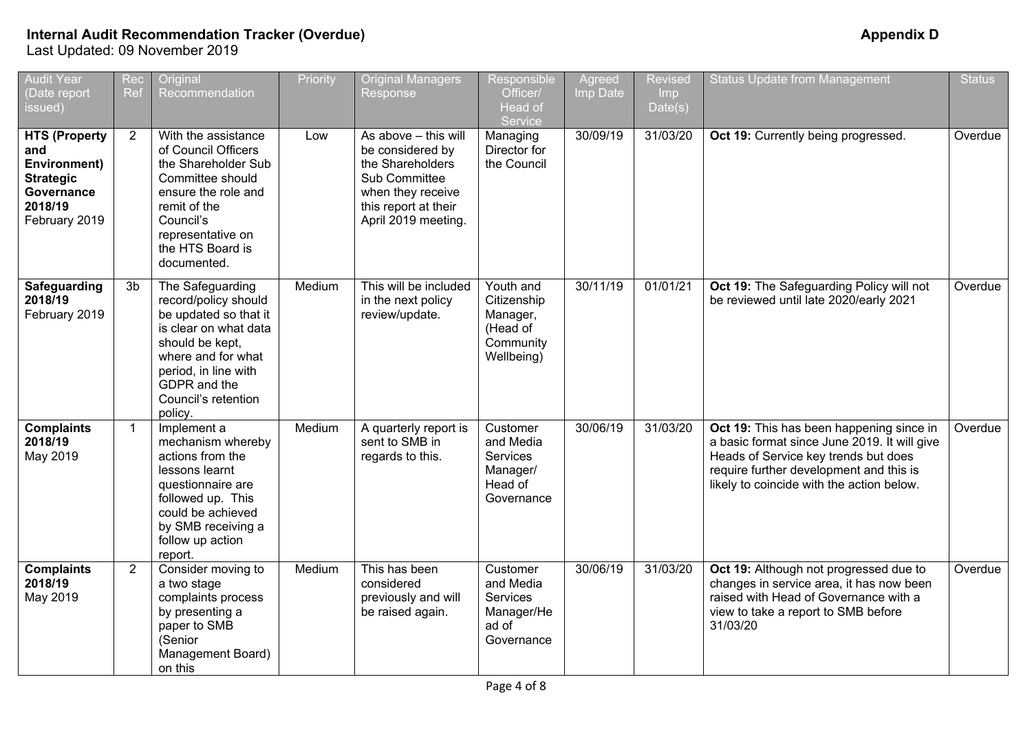| <b>Audit Year</b><br>(Date report<br>issued)                                                              | Rec<br>Ref     | Original<br>Recommendation                                                                                                                                                                                    | Priority | <b>Original Managers</b><br>Response                                                                                                              | Responsible<br>Officer/<br>Head of<br>Service                               | Agreed<br>Imp Date | <b>Revised</b><br><b>Imp</b><br>Date(s) | <b>Status Update from Management</b>                                                                                                                                                                                     | <b>Status</b> |
|-----------------------------------------------------------------------------------------------------------|----------------|---------------------------------------------------------------------------------------------------------------------------------------------------------------------------------------------------------------|----------|---------------------------------------------------------------------------------------------------------------------------------------------------|-----------------------------------------------------------------------------|--------------------|-----------------------------------------|--------------------------------------------------------------------------------------------------------------------------------------------------------------------------------------------------------------------------|---------------|
| <b>HTS (Property</b><br>and<br>Environment)<br><b>Strategic</b><br>Governance<br>2018/19<br>February 2019 | $\overline{2}$ | With the assistance<br>of Council Officers<br>the Shareholder Sub<br>Committee should<br>ensure the role and<br>remit of the<br>Council's<br>representative on<br>the HTS Board is<br>documented.             | Low      | As above - this will<br>be considered by<br>the Shareholders<br>Sub Committee<br>when they receive<br>this report at their<br>April 2019 meeting. | Managing<br>Director for<br>the Council                                     | 30/09/19           | 31/03/20                                | Oct 19: Currently being progressed.                                                                                                                                                                                      | Overdue       |
| Safeguarding<br>2018/19<br>February 2019                                                                  | 3b             | The Safeguarding<br>record/policy should<br>be updated so that it<br>is clear on what data<br>should be kept,<br>where and for what<br>period, in line with<br>GDPR and the<br>Council's retention<br>policy. | Medium   | This will be included<br>in the next policy<br>review/update.                                                                                     | Youth and<br>Citizenship<br>Manager,<br>(Head of<br>Community<br>Wellbeing) | 30/11/19           | 01/01/21                                | Oct 19: The Safeguarding Policy will not<br>be reviewed until late 2020/early 2021                                                                                                                                       | Overdue       |
| <b>Complaints</b><br>2018/19<br>May 2019                                                                  | $\mathbf{1}$   | Implement a<br>mechanism whereby<br>actions from the<br>lessons learnt<br>questionnaire are<br>followed up. This<br>could be achieved<br>by SMB receiving a<br>follow up action<br>report.                    | Medium   | A quarterly report is<br>sent to SMB in<br>regards to this.                                                                                       | Customer<br>and Media<br>Services<br>Manager/<br>Head of<br>Governance      | 30/06/19           | 31/03/20                                | Oct 19: This has been happening since in<br>a basic format since June 2019. It will give<br>Heads of Service key trends but does<br>require further development and this is<br>likely to coincide with the action below. | Overdue       |
| <b>Complaints</b><br>2018/19<br>May 2019                                                                  | $\overline{2}$ | Consider moving to<br>a two stage<br>complaints process<br>by presenting a<br>paper to SMB<br>(Senior<br>Management Board)<br>on this                                                                         | Medium   | This has been<br>considered<br>previously and will<br>be raised again.                                                                            | Customer<br>and Media<br>Services<br>Manager/He<br>ad of<br>Governance      | 30/06/19           | 31/03/20                                | Oct 19: Although not progressed due to<br>changes in service area, it has now been<br>raised with Head of Governance with a<br>view to take a report to SMB before<br>31/03/20                                           | Overdue       |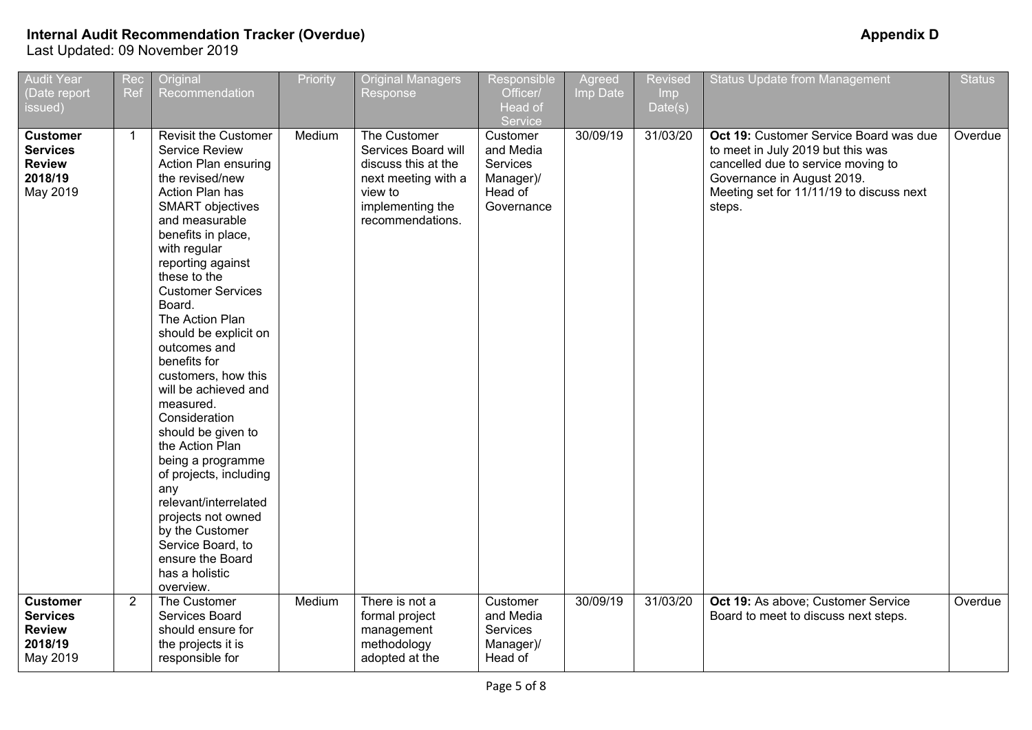| <b>Audit Year</b><br>(Date report<br>issued)                               | Rec<br>Ref     | Original<br>Recommendation                                                                                                                                                                                                                                                                                                                                                                                                                                                                                                                                                                                                                                                  | Priority | <b>Original Managers</b><br><b>Response</b>                                                                                          | <b>Responsible</b><br>Officer/<br>Head of<br>Service                    | Agreed<br>Imp Date | <b>Revised</b><br>Imp<br>Date(s) | <b>Status Update from Management</b>                                                                                                                                                                  | <b>Status</b> |
|----------------------------------------------------------------------------|----------------|-----------------------------------------------------------------------------------------------------------------------------------------------------------------------------------------------------------------------------------------------------------------------------------------------------------------------------------------------------------------------------------------------------------------------------------------------------------------------------------------------------------------------------------------------------------------------------------------------------------------------------------------------------------------------------|----------|--------------------------------------------------------------------------------------------------------------------------------------|-------------------------------------------------------------------------|--------------------|----------------------------------|-------------------------------------------------------------------------------------------------------------------------------------------------------------------------------------------------------|---------------|
| <b>Customer</b><br><b>Services</b><br><b>Review</b><br>2018/19<br>May 2019 | $\mathbf{1}$   | <b>Revisit the Customer</b><br>Service Review<br>Action Plan ensuring<br>the revised/new<br>Action Plan has<br><b>SMART</b> objectives<br>and measurable<br>benefits in place,<br>with regular<br>reporting against<br>these to the<br><b>Customer Services</b><br>Board.<br>The Action Plan<br>should be explicit on<br>outcomes and<br>benefits for<br>customers, how this<br>will be achieved and<br>measured.<br>Consideration<br>should be given to<br>the Action Plan<br>being a programme<br>of projects, including<br>any<br>relevant/interrelated<br>projects not owned<br>by the Customer<br>Service Board, to<br>ensure the Board<br>has a holistic<br>overview. | Medium   | The Customer<br>Services Board will<br>discuss this at the<br>next meeting with a<br>view to<br>implementing the<br>recommendations. | Customer<br>and Media<br>Services<br>Manager)/<br>Head of<br>Governance | 30/09/19           | 31/03/20                         | Oct 19: Customer Service Board was due<br>to meet in July 2019 but this was<br>cancelled due to service moving to<br>Governance in August 2019.<br>Meeting set for 11/11/19 to discuss next<br>steps. | Overdue       |
| <b>Customer</b><br><b>Services</b><br><b>Review</b><br>2018/19<br>May 2019 | $\overline{2}$ | The Customer<br>Services Board<br>should ensure for<br>the projects it is<br>responsible for                                                                                                                                                                                                                                                                                                                                                                                                                                                                                                                                                                                | Medium   | There is not a<br>formal project<br>management<br>methodology<br>adopted at the                                                      | Customer<br>and Media<br>Services<br>Manager)/<br>Head of               | 30/09/19           | 31/03/20                         | Oct 19: As above; Customer Service<br>Board to meet to discuss next steps.                                                                                                                            | Overdue       |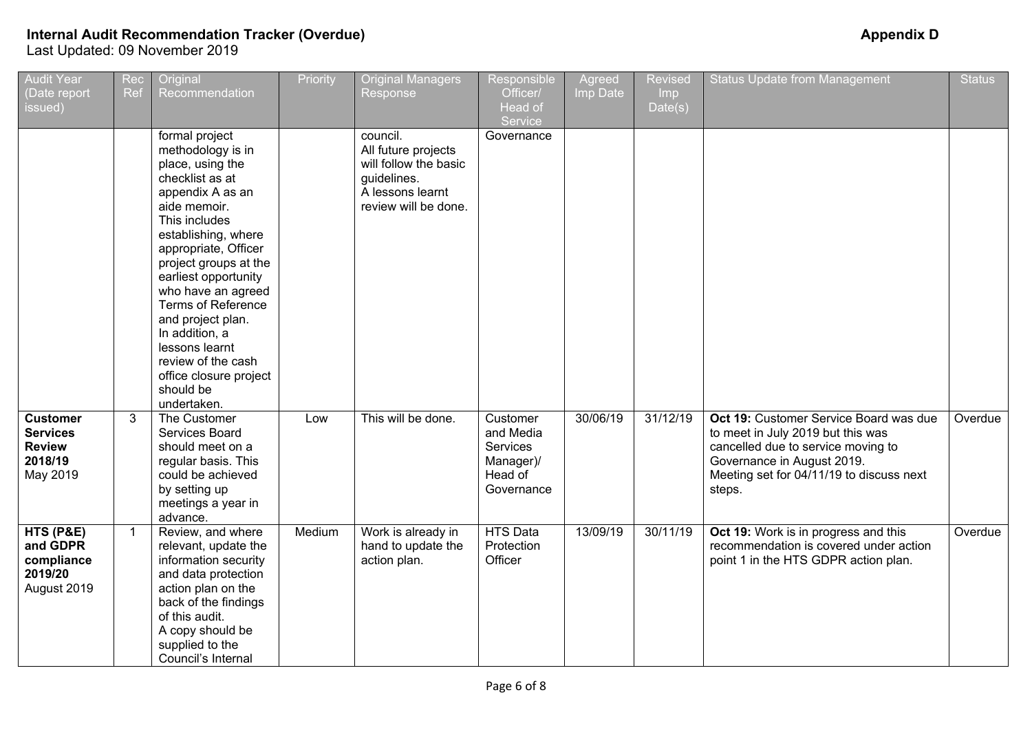| <b>Audit Year</b><br>(Date report<br>issued)                               | Rec<br><b>Ref</b> | Original<br>Recommendation                                                                                                                                                                                                                                                                                                                                                                                              | Priority | <b>Original Managers</b><br>Response                                                                                | <b>Responsible</b><br>Officer/<br>Head of<br>Service                    | Agreed<br>Imp Date | <b>Revised</b><br>Imp<br>Date(s) | <b>Status Update from Management</b>                                                                                                                                                                  | <b>Status</b> |
|----------------------------------------------------------------------------|-------------------|-------------------------------------------------------------------------------------------------------------------------------------------------------------------------------------------------------------------------------------------------------------------------------------------------------------------------------------------------------------------------------------------------------------------------|----------|---------------------------------------------------------------------------------------------------------------------|-------------------------------------------------------------------------|--------------------|----------------------------------|-------------------------------------------------------------------------------------------------------------------------------------------------------------------------------------------------------|---------------|
|                                                                            |                   | formal project<br>methodology is in<br>place, using the<br>checklist as at<br>appendix A as an<br>aide memoir.<br>This includes<br>establishing, where<br>appropriate, Officer<br>project groups at the<br>earliest opportunity<br>who have an agreed<br><b>Terms of Reference</b><br>and project plan.<br>In addition, a<br>lessons learnt<br>review of the cash<br>office closure project<br>should be<br>undertaken. |          | council.<br>All future projects<br>will follow the basic<br>guidelines.<br>A lessons learnt<br>review will be done. | Governance                                                              |                    |                                  |                                                                                                                                                                                                       |               |
| <b>Customer</b><br><b>Services</b><br><b>Review</b><br>2018/19<br>May 2019 | 3                 | The Customer<br>Services Board<br>should meet on a<br>regular basis. This<br>could be achieved<br>by setting up<br>meetings a year in<br>advance.                                                                                                                                                                                                                                                                       | Low      | This will be done.                                                                                                  | Customer<br>and Media<br>Services<br>Manager)/<br>Head of<br>Governance | 30/06/19           | 31/12/19                         | Oct 19: Customer Service Board was due<br>to meet in July 2019 but this was<br>cancelled due to service moving to<br>Governance in August 2019.<br>Meeting set for 04/11/19 to discuss next<br>steps. | Overdue       |
| HTS (P&E)<br>and GDPR<br>compliance<br>2019/20<br>August 2019              | $\mathbf{1}$      | Review, and where<br>relevant, update the<br>information security<br>and data protection<br>action plan on the<br>back of the findings<br>of this audit.<br>A copy should be<br>supplied to the<br>Council's Internal                                                                                                                                                                                                   | Medium   | Work is already in<br>hand to update the<br>action plan.                                                            | <b>HTS Data</b><br>Protection<br>Officer                                | 13/09/19           | 30/11/19                         | Oct 19: Work is in progress and this<br>recommendation is covered under action<br>point 1 in the HTS GDPR action plan.                                                                                | Overdue       |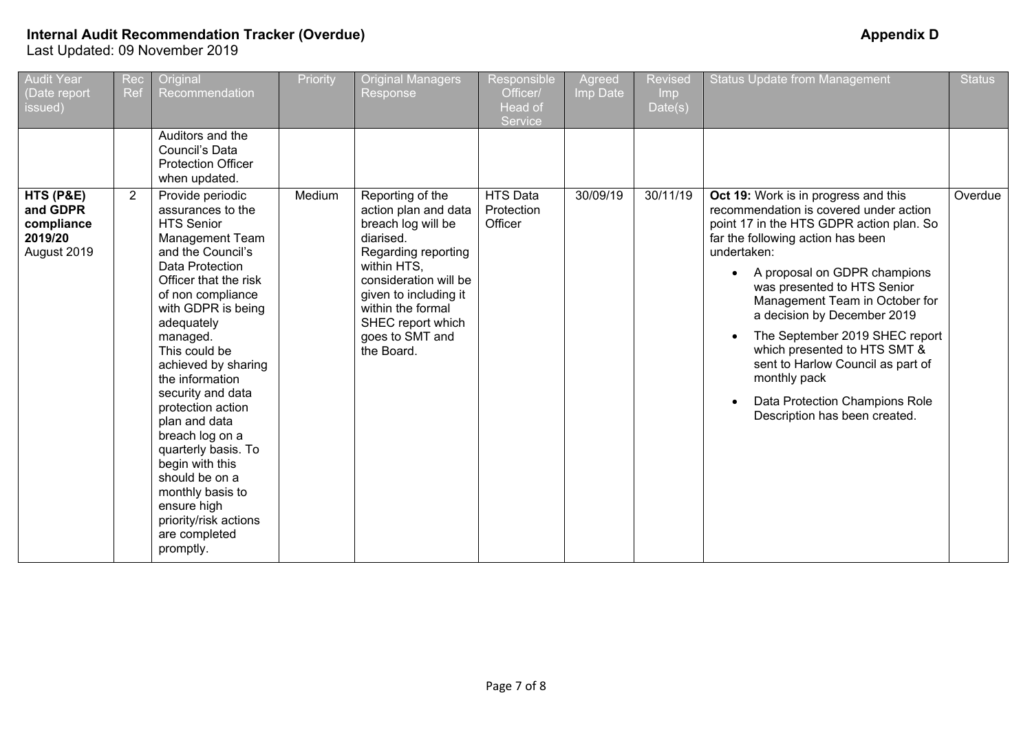| Audit Year<br>(Date report<br>issued)                         | Rec<br>Ref     | Original<br>Recommendation                                                                                                                                                                                                                                                                                                                                                                                                                                                                                                | Priority | <b>Original Managers</b><br>Response                                                                                                                                                                                                           | Responsible<br>Officer/<br>Head of<br>Service | Agreed<br>Imp Date | Revised<br>Imp<br>Date(s) | <b>Status Update from Management</b>                                                                                                                                                                                                                                                                                                                                                                                                                                                                     | <b>Status</b> |
|---------------------------------------------------------------|----------------|---------------------------------------------------------------------------------------------------------------------------------------------------------------------------------------------------------------------------------------------------------------------------------------------------------------------------------------------------------------------------------------------------------------------------------------------------------------------------------------------------------------------------|----------|------------------------------------------------------------------------------------------------------------------------------------------------------------------------------------------------------------------------------------------------|-----------------------------------------------|--------------------|---------------------------|----------------------------------------------------------------------------------------------------------------------------------------------------------------------------------------------------------------------------------------------------------------------------------------------------------------------------------------------------------------------------------------------------------------------------------------------------------------------------------------------------------|---------------|
|                                                               |                | Auditors and the<br>Council's Data<br><b>Protection Officer</b><br>when updated.                                                                                                                                                                                                                                                                                                                                                                                                                                          |          |                                                                                                                                                                                                                                                |                                               |                    |                           |                                                                                                                                                                                                                                                                                                                                                                                                                                                                                                          |               |
| HTS (P&E)<br>and GDPR<br>compliance<br>2019/20<br>August 2019 | $\overline{2}$ | Provide periodic<br>assurances to the<br><b>HTS Senior</b><br><b>Management Team</b><br>and the Council's<br>Data Protection<br>Officer that the risk<br>of non compliance<br>with GDPR is being<br>adequately<br>managed.<br>This could be<br>achieved by sharing<br>the information<br>security and data<br>protection action<br>plan and data<br>breach log on a<br>quarterly basis. To<br>begin with this<br>should be on a<br>monthly basis to<br>ensure high<br>priority/risk actions<br>are completed<br>promptly. | Medium   | Reporting of the<br>action plan and data<br>breach log will be<br>diarised.<br>Regarding reporting<br>within HTS.<br>consideration will be<br>given to including it<br>within the formal<br>SHEC report which<br>goes to SMT and<br>the Board. | <b>HTS Data</b><br>Protection<br>Officer      | 30/09/19           | 30/11/19                  | Oct 19: Work is in progress and this<br>recommendation is covered under action<br>point 17 in the HTS GDPR action plan. So<br>far the following action has been<br>undertaken:<br>A proposal on GDPR champions<br>was presented to HTS Senior<br>Management Team in October for<br>a decision by December 2019<br>The September 2019 SHEC report<br>which presented to HTS SMT &<br>sent to Harlow Council as part of<br>monthly pack<br>Data Protection Champions Role<br>Description has been created. | Overdue       |